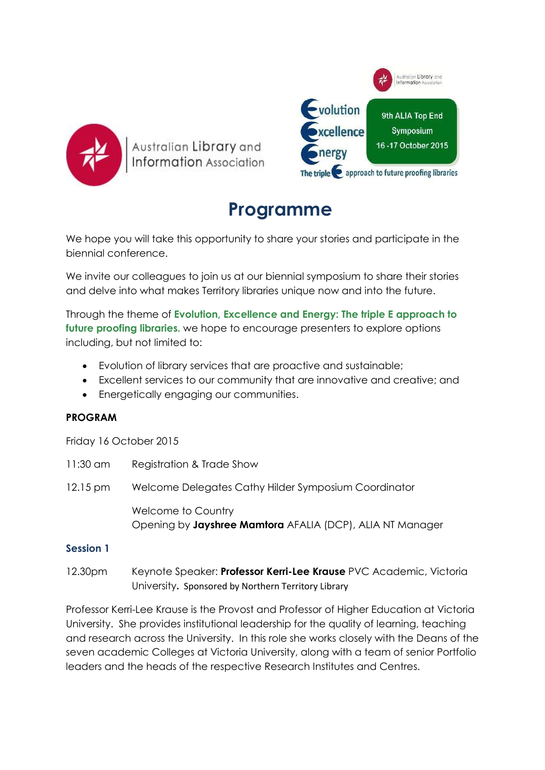

ustralian <mark>Library</mark> and Information Association



# **Programme**

We hope you will take this opportunity to share your stories and participate in the biennial conference.

We invite our colleagues to join us at our biennial symposium to share their stories and delve into what makes Territory libraries unique now and into the future.

Through the theme of **Evolution, Excellence and Energy: The triple E approach to future proofing libraries.** we hope to encourage presenters to explore options including, but not limited to:

- Evolution of library services that are proactive and sustainable;
- Excellent services to our community that are innovative and creative; and
- Energetically engaging our communities.

## **PROGRAM**

Friday 16 October 2015

| 11:30 am              | Registration & Trade Show                                                       |
|-----------------------|---------------------------------------------------------------------------------|
| $12.15 \,\mathrm{pm}$ | Welcome Delegates Cathy Hilder Symposium Coordinator                            |
|                       | Welcome to Country<br>Opening by Jayshree Mamtora AFALIA (DCP), ALIA NT Manager |
| <b>Session 1</b>      |                                                                                 |

12.30pm Keynote Speaker: **Professor Kerri-Lee Krause** PVC Academic, Victoria University**.** Sponsored by Northern Territory Library

Professor Kerri-Lee Krause is the Provost and Professor of Higher Education at Victoria University. She provides institutional leadership for the quality of learning, teaching and research across the University. In this role she works closely with the Deans of the seven academic Colleges at Victoria University, along with a team of senior Portfolio leaders and the heads of the respective Research Institutes and Centres.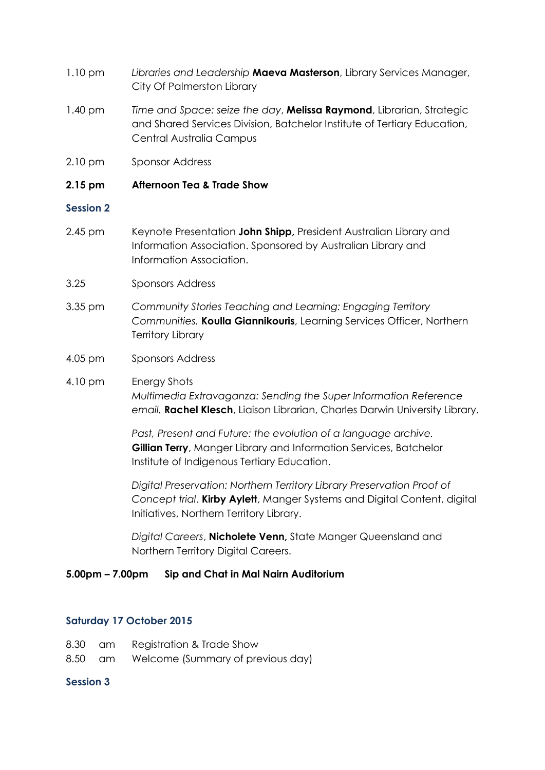- 1.10 pm *Libraries and Leadership* **Maeva Masterson**, Library Services Manager, City Of Palmerston Library
- 1.40 pm *Time and Space: seize the day*, **Melissa Raymond**, Librarian, Strategic and Shared Services Division, Batchelor Institute of Tertiary Education, Central Australia Campus
- 2.10 pm Sponsor Address

#### **2.15 pm Afternoon Tea & Trade Show**

#### **Session 2**

- 2.45 pm Keynote Presentation **John Shipp,** President Australian Library and Information Association. Sponsored by Australian Library and Information Association.
- 3.25 Sponsors Address
- 3.35 pm *Community Stories Teaching and Learning: Engaging Territory Communities.* **Koulla Giannikouris**, Learning Services Officer, Northern Territory Library
- 4.05 pm Sponsors Address
- 4.10 pm Energy Shots *Multimedia Extravaganza: Sending the Super Information Reference email.* **Rachel Klesch**, Liaison Librarian, Charles Darwin University Library.

*Past, Present and Future: the evolution of a language archive.*  **Gillian Terry**, Manger Library and Information Services, Batchelor Institute of Indigenous Tertiary Education.

*Digital Preservation: Northern Territory Library Preservation Proof of Concept trial*. **Kirby Aylett**, Manger Systems and Digital Content, digital Initiatives, Northern Territory Library.

*Digital Careers*, **Nicholete Venn,** State Manger Queensland and Northern Territory Digital Careers.

#### **5.00pm – 7.00pm Sip and Chat in Mal Nairn Auditorium**

#### **Saturday 17 October 2015**

8.30 am Registration & Trade Show 8.50 am Welcome (Summary of previous day)

### **Session 3**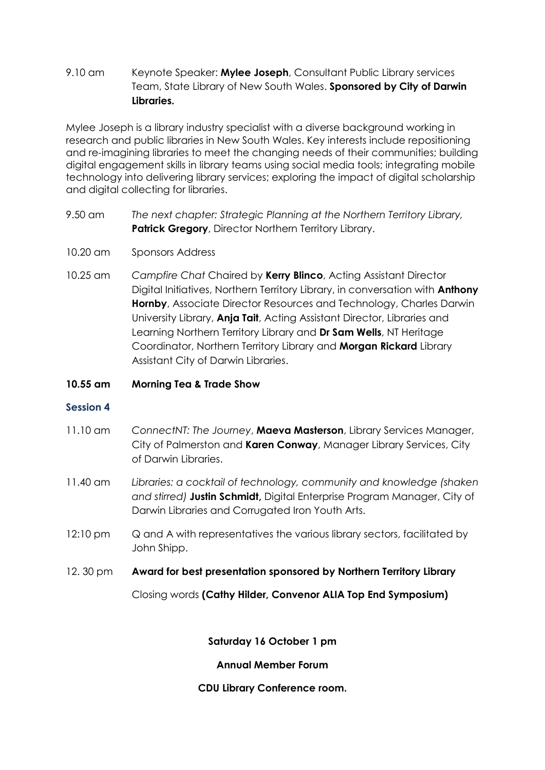## 9.10 am Keynote Speaker: **Mylee Joseph**, Consultant Public Library services Team, State Library of New South Wales. **Sponsored by City of Darwin Libraries.**

Mylee Joseph is a library industry specialist with a diverse background working in research and public libraries in New South Wales. Key interests include repositioning and re-imagining libraries to meet the changing needs of their communities; building digital engagement skills in library teams using social media tools; integrating mobile technology into delivering library services; exploring the impact of digital scholarship and digital collecting for libraries.

- 9.50 am *The next chapter: Strategic Planning at the Northern Territory Library,* **Patrick Gregory**, Director Northern Territory Library.
- 10.20 am Sponsors Address
- 10.25 am *Campfire Chat* Chaired by **Kerry Blinco**, Acting Assistant Director Digital Initiatives, Northern Territory Library, in conversation with **Anthony Hornby**, Associate Director Resources and Technology, Charles Darwin University Library, **Anja Tait**, Acting Assistant Director, Libraries and Learning Northern Territory Library and **Dr Sam Wells**, NT Heritage Coordinator, Northern Territory Library and **Morgan Rickard** Library Assistant City of Darwin Libraries.

## **10.55 am Morning Tea & Trade Show**

## **Session 4**

- 11.10 am *ConnectNT: The Journey*, **Maeva Masterson**, Library Services Manager, City of Palmerston and **Karen Conway**, Manager Library Services, City of Darwin Libraries.
- 11.40 am *Libraries: a cocktail of technology, community and knowledge (shaken and stirred)* **Justin Schmidt,** Digital Enterprise Program Manager, City of Darwin Libraries and Corrugated Iron Youth Arts.
- 12:10 pm Q and A with representatives the various library sectors, facilitated by John Shipp.
- 12. 30 pm **Award for best presentation sponsored by Northern Territory Library**

Closing words **(Cathy Hilder, Convenor ALIA Top End Symposium)**

**Saturday 16 October 1 pm**

**Annual Member Forum**

**CDU Library Conference room.**